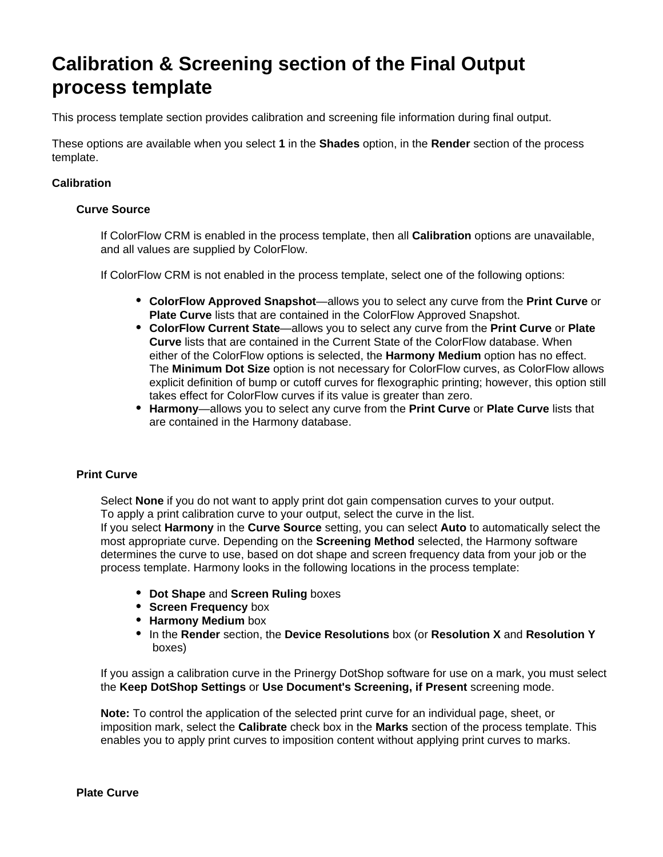# **Calibration & Screening section of the Final Output process template**

This process template section provides calibration and screening file information during final output.

These options are available when you select **1** in the **Shades** option, in the **Render** section of the process template.

# **Calibration**

## **Curve Source**

If ColorFlow CRM is enabled in the process template, then all **Calibration** options are unavailable, and all values are supplied by ColorFlow.

If ColorFlow CRM is not enabled in the process template, select one of the following options:

- **ColorFlow Approved Snapshot**—allows you to select any curve from the **Print Curve** or **Plate Curve** lists that are contained in the ColorFlow Approved Snapshot.
- **ColorFlow Current State**—allows you to select any curve from the **Print Curve** or **Plate Curve** lists that are contained in the Current State of the ColorFlow database. When either of the ColorFlow options is selected, the **Harmony Medium** option has no effect. The **Minimum Dot Size** option is not necessary for ColorFlow curves, as ColorFlow allows explicit definition of bump or cutoff curves for flexographic printing; however, this option still takes effect for ColorFlow curves if its value is greater than zero.
- **Harmony**—allows you to select any curve from the **Print Curve** or **Plate Curve** lists that are contained in the Harmony database.

## **Print Curve**

Select **None** if you do not want to apply print dot gain compensation curves to your output. To apply a print calibration curve to your output, select the curve in the list.

If you select **Harmony** in the **Curve Source** setting, you can select **Auto** to automatically select the most appropriate curve. Depending on the **Screening Method** selected, the Harmony software determines the curve to use, based on dot shape and screen frequency data from your job or the process template. Harmony looks in the following locations in the process template:

- **Dot Shape** and **Screen Ruling** boxes
- **Screen Frequency box**
- **Harmony Medium** box
- In the **Render** section, the **Device Resolutions** box (or **Resolution X** and **Resolution Y** boxes)

If you assign a calibration curve in the Prinergy DotShop software for use on a mark, you must select the **Keep DotShop Settings** or **Use Document's Screening, if Present** screening mode.

**Note:** To control the application of the selected print curve for an individual page, sheet, or imposition mark, select the **Calibrate** check box in the **Marks** section of the process template. This enables you to apply print curves to imposition content without applying print curves to marks.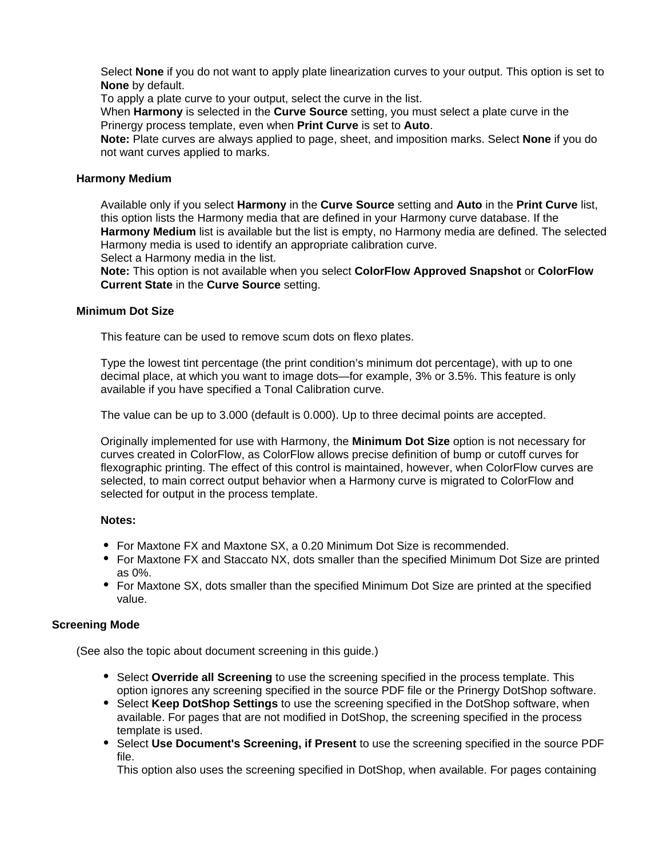Select **None** if you do not want to apply plate linearization curves to your output. This option is set to **None** by default.

To apply a plate curve to your output, select the curve in the list.

When **Harmony** is selected in the **Curve Source** setting, you must select a plate curve in the Prinergy process template, even when **Print Curve** is set to **Auto**.

**Note:** Plate curves are always applied to page, sheet, and imposition marks. Select **None** if you do not want curves applied to marks.

# **Harmony Medium**

Available only if you select **Harmony** in the **Curve Source** setting and **Auto** in the **Print Curve** list, this option lists the Harmony media that are defined in your Harmony curve database. If the **Harmony Medium** list is available but the list is empty, no Harmony media are defined. The selected Harmony media is used to identify an appropriate calibration curve. Select a Harmony media in the list.

**Note:** This option is not available when you select **ColorFlow Approved Snapshot** or **ColorFlow Current State** in the **Curve Source** setting.

# **Minimum Dot Size**

This feature can be used to remove scum dots on flexo plates.

Type the lowest tint percentage (the print condition's minimum dot percentage), with up to one decimal place, at which you want to image dots—for example, 3% or 3.5%. This feature is only available if you have specified a Tonal Calibration curve.

The value can be up to 3.000 (default is 0.000). Up to three decimal points are accepted.

Originally implemented for use with Harmony, the **Minimum Dot Size** option is not necessary for curves created in ColorFlow, as ColorFlow allows precise definition of bump or cutoff curves for flexographic printing. The effect of this control is maintained, however, when ColorFlow curves are selected, to main correct output behavior when a Harmony curve is migrated to ColorFlow and selected for output in the process template.

## **Notes:**

- For Maxtone FX and Maxtone SX, a 0.20 Minimum Dot Size is recommended.
- For Maxtone FX and Staccato NX, dots smaller than the specified Minimum Dot Size are printed as 0%.
- For Maxtone SX, dots smaller than the specified Minimum Dot Size are printed at the specified value.

# **Screening Mode**

(See also the topic about document screening in this guide.)

- **Select Override all Screening** to use the screening specified in the process template. This option ignores any screening specified in the source PDF file or the Prinergy DotShop software.
- Select **Keep DotShop Settings** to use the screening specified in the DotShop software, when available. For pages that are not modified in DotShop, the screening specified in the process template is used.
- Select **Use Document's Screening, if Present** to use the screening specified in the source PDF file.

This option also uses the screening specified in DotShop, when available. For pages containing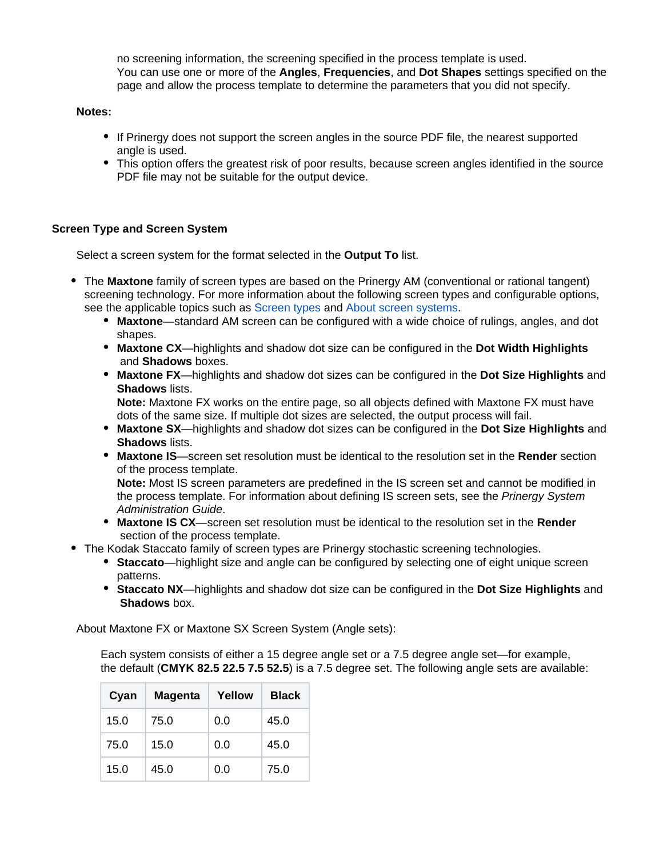no screening information, the screening specified in the process template is used. You can use one or more of the **Angles**, **Frequencies**, and **Dot Shapes** settings specified on the page and allow the process template to determine the parameters that you did not specify.

# **Notes:**

- If Prinergy does not support the screen angles in the source PDF file, the nearest supported angle is used.
- This option offers the greatest risk of poor results, because screen angles identified in the source PDF file may not be suitable for the output device.

# **Screen Type and Screen System**

Select a screen system for the format selected in the **Output To** list.

- The **Maxtone** family of screen types are based on the Prinergy AM (conventional or rational tangent) screening technology. For more information about the following screen types and configurable options, see the applicable topics such as [Screen types](https://workflowhelp.kodak.com/display/PRIN75/Screen+types) and [About screen systems](https://workflowhelp.kodak.com/display/PRIN75/About+screen+systems).
	- **Maxtone**—standard AM screen can be configured with a wide choice of rulings, angles, and dot shapes.
	- **Maxtone CX**—highlights and shadow dot size can be configured in the **Dot Width Highlights** and **Shadows** boxes.
	- **Maxtone FX**—highlights and shadow dot sizes can be configured in the **Dot Size Highlights** and **Shadows** lists.

**Note:** Maxtone FX works on the entire page, so all objects defined with Maxtone FX must have dots of the same size. If multiple dot sizes are selected, the output process will fail.

- **Maxtone SX**—highlights and shadow dot sizes can be configured in the **Dot Size Highlights** and **Shadows** lists.
- **Maxtone IS**—screen set resolution must be identical to the resolution set in the **Render** section of the process template.

**Note:** Most IS screen parameters are predefined in the IS screen set and cannot be modified in the process template. For information about defining IS screen sets, see the *Prinergy System* Administration Guide.

- **Maxtone IS CX**—screen set resolution must be identical to the resolution set in the **Render** section of the process template.
- The Kodak Staccato family of screen types are Prinergy stochastic screening technologies.
	- **Staccato**—highlight size and angle can be configured by selecting one of eight unique screen patterns.
	- **Staccato NX**—highlights and shadow dot size can be configured in the **Dot Size Highlights** and  **Shadows** box.

About Maxtone FX or Maxtone SX Screen System (Angle sets):

Each system consists of either a 15 degree angle set or a 7.5 degree angle set—for example, the default (**CMYK 82.5 22.5 7.5 52.5**) is a 7.5 degree set. The following angle sets are available:

| Cyan | <b>Magenta</b> | Yellow | <b>Black</b> |
|------|----------------|--------|--------------|
| 15.0 | 75.0           | 0.0    | 45.0         |
| 75.0 | 15.0           | 0.0    | 45.0         |
| 15.0 | 45.0           | 0.0    | 75.0         |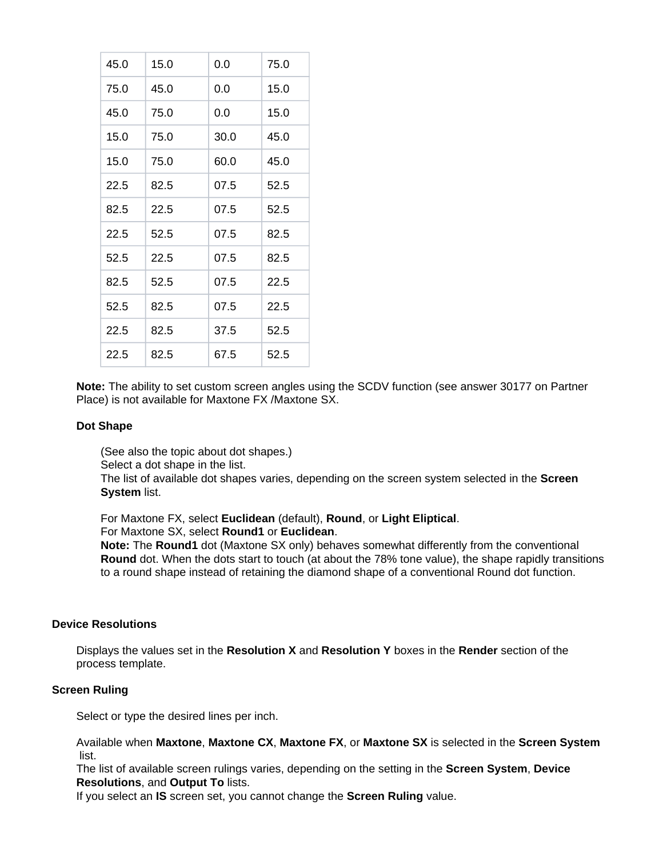| 45.0 | 15.0 | 0.0  | 75.0 |
|------|------|------|------|
| 75.0 | 45.0 | 0.0  | 15.0 |
| 45.0 | 75.0 | 0.0  | 15.0 |
| 15.0 | 75.0 | 30.0 | 45.0 |
| 15.0 | 75.0 | 60.0 | 45.0 |
| 22.5 | 82.5 | 07.5 | 52.5 |
| 82.5 | 22.5 | 07.5 | 52.5 |
| 22.5 | 52.5 | 07.5 | 82.5 |
| 52.5 | 22.5 | 07.5 | 82.5 |
| 82.5 | 52.5 | 07.5 | 22.5 |
| 52.5 | 82.5 | 07.5 | 22.5 |
| 22.5 | 82.5 | 37.5 | 52.5 |
| 22.5 | 82.5 | 67.5 | 52.5 |

**Note:** The ability to set custom screen angles using the SCDV function (see answer 30177 on Partner Place) is not available for Maxtone FX /Maxtone SX.

## **Dot Shape**

(See also the topic about dot shapes.)

Select a dot shape in the list.

The list of available dot shapes varies, depending on the screen system selected in the **Screen System** list.

For Maxtone FX, select **Euclidean** (default), **Round**, or **Light Eliptical**. For Maxtone SX, select **Round1** or **Euclidean**.

**Note:** The **Round1** dot (Maxtone SX only) behaves somewhat differently from the conventional **Round** dot. When the dots start to touch (at about the 78% tone value), the shape rapidly transitions to a round shape instead of retaining the diamond shape of a conventional Round dot function.

# **Device Resolutions**

Displays the values set in the **Resolution X** and **Resolution Y** boxes in the **Render** section of the process template.

# **Screen Ruling**

Select or type the desired lines per inch.

Available when **Maxtone**, **Maxtone CX**, **Maxtone FX**, or **Maxtone SX** is selected in the **Screen System** list.

The list of available screen rulings varies, depending on the setting in the **Screen System**, **Device Resolutions**, and **Output To** lists.

If you select an **IS** screen set, you cannot change the **Screen Ruling** value.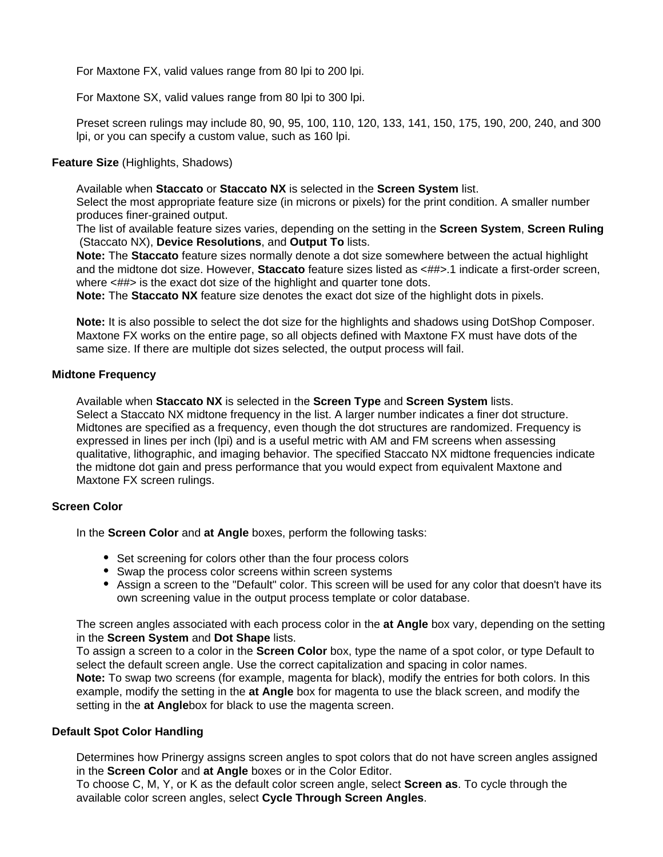For Maxtone FX, valid values range from 80 lpi to 200 lpi.

For Maxtone SX, valid values range from 80 lpi to 300 lpi.

Preset screen rulings may include 80, 90, 95, 100, 110, 120, 133, 141, 150, 175, 190, 200, 240, and 300 lpi, or you can specify a custom value, such as 160 lpi.

# **Feature Size** (Highlights, Shadows)

Available when **Staccato** or **Staccato NX** is selected in the **Screen System** list.

Select the most appropriate feature size (in microns or pixels) for the print condition. A smaller number produces finer-grained output.

The list of available feature sizes varies, depending on the setting in the **Screen System**, **Screen Ruling** (Staccato NX), **Device Resolutions**, and **Output To** lists.

**Note:** The **Staccato** feature sizes normally denote a dot size somewhere between the actual highlight and the midtone dot size. However, **Staccato** feature sizes listed as <##>.1 indicate a first-order screen, where  $\langle$  ## $\rangle$  is the exact dot size of the highlight and quarter tone dots.

**Note:** The **Staccato NX** feature size denotes the exact dot size of the highlight dots in pixels.

**Note:** It is also possible to select the dot size for the highlights and shadows using DotShop Composer. Maxtone FX works on the entire page, so all objects defined with Maxtone FX must have dots of the same size. If there are multiple dot sizes selected, the output process will fail.

## **Midtone Frequency**

Available when **Staccato NX** is selected in the **Screen Type** and **Screen System** lists. Select a Staccato NX midtone frequency in the list. A larger number indicates a finer dot structure. Midtones are specified as a frequency, even though the dot structures are randomized. Frequency is expressed in lines per inch (lpi) and is a useful metric with AM and FM screens when assessing qualitative, lithographic, and imaging behavior. The specified Staccato NX midtone frequencies indicate the midtone dot gain and press performance that you would expect from equivalent Maxtone and Maxtone FX screen rulings.

# **Screen Color**

In the **Screen Color** and **at Angle** boxes, perform the following tasks:

- Set screening for colors other than the four process colors
- Swap the process color screens within screen systems
- Assign a screen to the "Default" color. This screen will be used for any color that doesn't have its own screening value in the output process template or color database.

The screen angles associated with each process color in the **at Angle** box vary, depending on the setting in the **Screen System** and **Dot Shape** lists.

To assign a screen to a color in the **Screen Color** box, type the name of a spot color, or type Default to select the default screen angle. Use the correct capitalization and spacing in color names. **Note:** To swap two screens (for example, magenta for black), modify the entries for both colors. In this example, modify the setting in the **at Angle** box for magenta to use the black screen, and modify the setting in the **at Angle**box for black to use the magenta screen.

## **Default Spot Color Handling**

Determines how Prinergy assigns screen angles to spot colors that do not have screen angles assigned in the **Screen Color** and **at Angle** boxes or in the Color Editor.

To choose C, M, Y, or K as the default color screen angle, select **Screen as**. To cycle through the available color screen angles, select **Cycle Through Screen Angles**.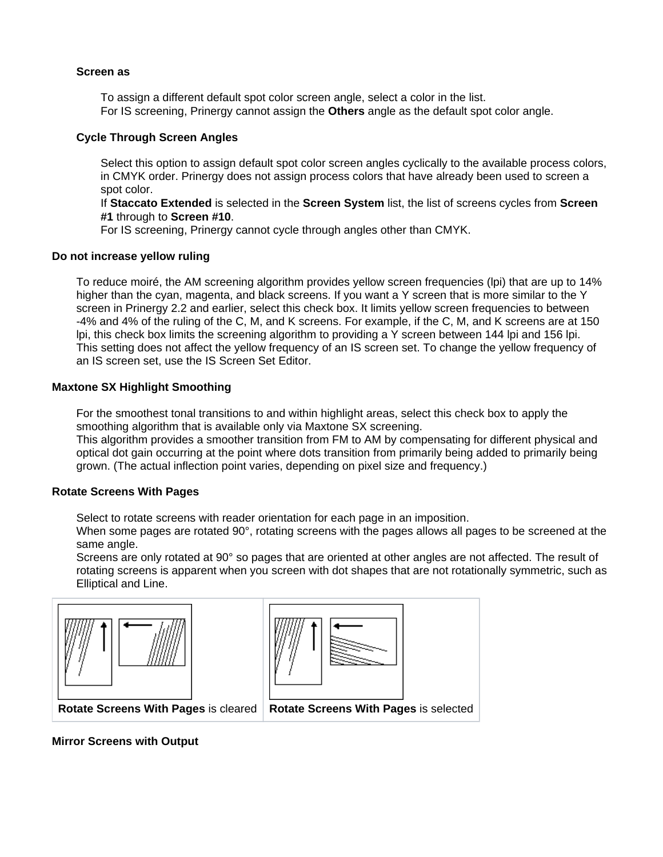# **Screen as**

To assign a different default spot color screen angle, select a color in the list. For IS screening, Prinergy cannot assign the **Others** angle as the default spot color angle.

# **Cycle Through Screen Angles**

Select this option to assign default spot color screen angles cyclically to the available process colors, in CMYK order. Prinergy does not assign process colors that have already been used to screen a spot color.

If **Staccato Extended** is selected in the **Screen System** list, the list of screens cycles from **Screen #1** through to **Screen #10**.

For IS screening, Prinergy cannot cycle through angles other than CMYK.

# **Do not increase yellow ruling**

To reduce moiré, the AM screening algorithm provides yellow screen frequencies (lpi) that are up to 14% higher than the cyan, magenta, and black screens. If you want a Y screen that is more similar to the Y screen in Prinergy 2.2 and earlier, select this check box. It limits yellow screen frequencies to between -4% and 4% of the ruling of the C, M, and K screens. For example, if the C, M, and K screens are at 150 lpi, this check box limits the screening algorithm to providing a Y screen between 144 lpi and 156 lpi. This setting does not affect the yellow frequency of an IS screen set. To change the yellow frequency of an IS screen set, use the IS Screen Set Editor.

# **Maxtone SX Highlight Smoothing**

For the smoothest tonal transitions to and within highlight areas, select this check box to apply the smoothing algorithm that is available only via Maxtone SX screening.

This algorithm provides a smoother transition from FM to AM by compensating for different physical and optical dot gain occurring at the point where dots transition from primarily being added to primarily being grown. (The actual inflection point varies, depending on pixel size and frequency.)

# **Rotate Screens With Pages**

Select to rotate screens with reader orientation for each page in an imposition.

When some pages are rotated 90°, rotating screens with the pages allows all pages to be screened at the same angle.

Screens are only rotated at 90° so pages that are oriented at other angles are not affected. The result of rotating screens is apparent when you screen with dot shapes that are not rotationally symmetric, such as Elliptical and Line.





**Rotate Screens With Pages** is cleared **Rotate Screens With Pages** is selected

**Mirror Screens with Output**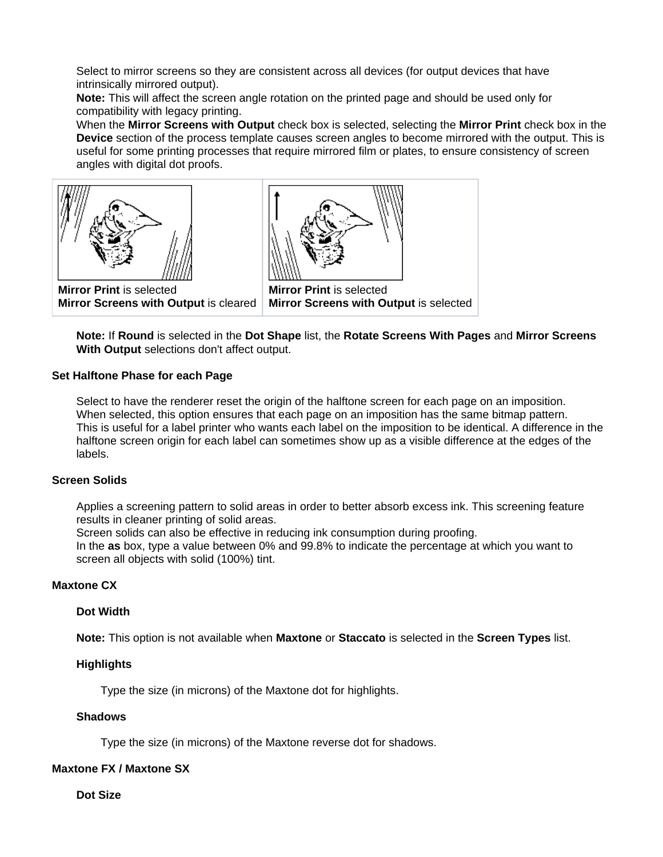Select to mirror screens so they are consistent across all devices (for output devices that have intrinsically mirrored output).

**Note:** This will affect the screen angle rotation on the printed page and should be used only for compatibility with legacy printing.

When the **Mirror Screens with Output** check box is selected, selecting the **Mirror Print** check box in the **Device** section of the process template causes screen angles to become mirrored with the output. This is useful for some printing processes that require mirrored film or plates, to ensure consistency of screen angles with digital dot proofs.





**Mirror Print** is selected **Mirror Screens with Output** is cleared

**Mirror Print** is selected **Mirror Screens with Output** is selected

**Note:** If **Round** is selected in the **Dot Shape** list, the **Rotate Screens With Pages** and **Mirror Screens With Output** selections don't affect output.

# **Set Halftone Phase for each Page**

Select to have the renderer reset the origin of the halftone screen for each page on an imposition. When selected, this option ensures that each page on an imposition has the same bitmap pattern. This is useful for a label printer who wants each label on the imposition to be identical. A difference in the halftone screen origin for each label can sometimes show up as a visible difference at the edges of the labels.

## **Screen Solids**

Applies a screening pattern to solid areas in order to better absorb excess ink. This screening feature results in cleaner printing of solid areas.

Screen solids can also be effective in reducing ink consumption during proofing.

In the **as** box, type a value between 0% and 99.8% to indicate the percentage at which you want to screen all objects with solid (100%) tint.

# **Maxtone CX**

## **Dot Width**

**Note:** This option is not available when **Maxtone** or **Staccato** is selected in the **Screen Types** list.

# **Highlights**

Type the size (in microns) of the Maxtone dot for highlights.

## **Shadows**

Type the size (in microns) of the Maxtone reverse dot for shadows.

# **Maxtone FX / Maxtone SX**

**Dot Size**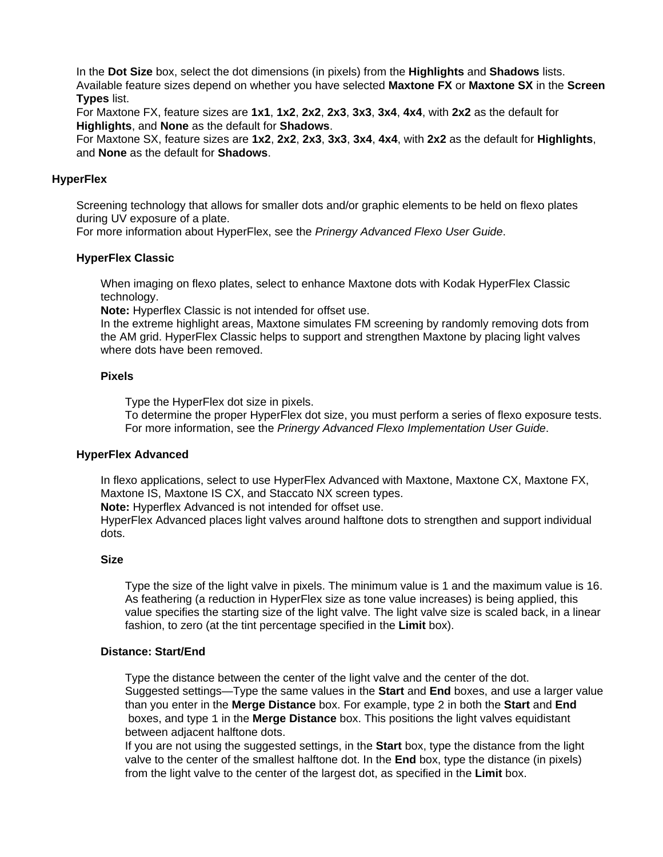In the **Dot Size** box, select the dot dimensions (in pixels) from the **Highlights** and **Shadows** lists. Available feature sizes depend on whether you have selected **Maxtone FX** or **Maxtone SX** in the **Screen Types** list.

For Maxtone FX, feature sizes are **1x1**, **1x2**, **2x2**, **2x3**, **3x3**, **3x4**, **4x4**, with **2x2** as the default for **Highlights**, and **None** as the default for **Shadows**.

For Maxtone SX, feature sizes are **1x2**, **2x2**, **2x3**, **3x3**, **3x4**, **4x4**, with **2x2** as the default for **Highlights**, and **None** as the default for **Shadows**.

# **HyperFlex**

Screening technology that allows for smaller dots and/or graphic elements to be held on flexo plates during UV exposure of a plate.

For more information about HyperFlex, see the Prinergy Advanced Flexo User Guide.

## **HyperFlex Classic**

When imaging on flexo plates, select to enhance Maxtone dots with Kodak HyperFlex Classic technology.

**Note:** Hyperflex Classic is not intended for offset use.

In the extreme highlight areas, Maxtone simulates FM screening by randomly removing dots from the AM grid. HyperFlex Classic helps to support and strengthen Maxtone by placing light valves where dots have been removed.

## **Pixels**

Type the HyperFlex dot size in pixels.

To determine the proper HyperFlex dot size, you must perform a series of flexo exposure tests. For more information, see the Prinergy Advanced Flexo Implementation User Guide.

## **HyperFlex Advanced**

In flexo applications, select to use HyperFlex Advanced with Maxtone, Maxtone CX, Maxtone FX, Maxtone IS, Maxtone IS CX, and Staccato NX screen types.

**Note:** Hyperflex Advanced is not intended for offset use.

HyperFlex Advanced places light valves around halftone dots to strengthen and support individual dots.

# **Size**

Type the size of the light valve in pixels. The minimum value is 1 and the maximum value is 16. As feathering (a reduction in HyperFlex size as tone value increases) is being applied, this value specifies the starting size of the light valve. The light valve size is scaled back, in a linear fashion, to zero (at the tint percentage specified in the **Limit** box).

## **Distance: Start/End**

Type the distance between the center of the light valve and the center of the dot. Suggested settings—Type the same values in the **Start** and **End** boxes, and use a larger value than you enter in the **Merge Distance** box. For example, type 2 in both the **Start** and **End** boxes, and type 1 in the **Merge Distance** box. This positions the light valves equidistant between adjacent halftone dots.

If you are not using the suggested settings, in the **Start** box, type the distance from the light valve to the center of the smallest halftone dot. In the **End** box, type the distance (in pixels) from the light valve to the center of the largest dot, as specified in the **Limit** box.